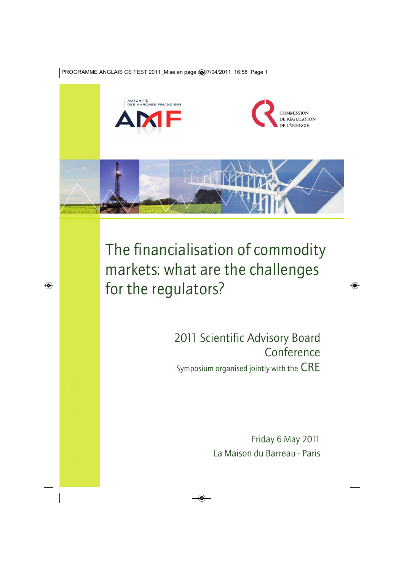







The financialisation of commodity markets: what are the challenges for the regulators?

> 2011 Scientific Advisory Board Conference Symposium organised jointly with the CRE

> > Friday 6 May 2011 La Maison du Barreau - Paris